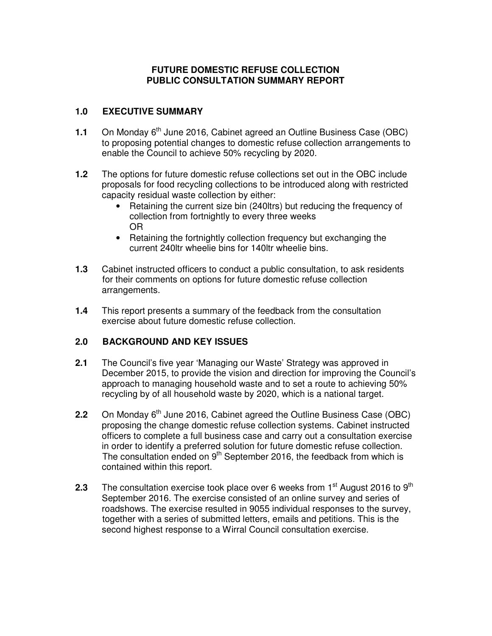# **FUTURE DOMESTIC REFUSE COLLECTION PUBLIC CONSULTATION SUMMARY REPORT**

## **1.0 EXECUTIVE SUMMARY**

- **1.1** On Monday 6<sup>th</sup> June 2016, Cabinet agreed an Outline Business Case (OBC) to proposing potential changes to domestic refuse collection arrangements to enable the Council to achieve 50% recycling by 2020.
- **1.2** The options for future domestic refuse collections set out in the OBC include proposals for food recycling collections to be introduced along with restricted capacity residual waste collection by either:
	- Retaining the current size bin (240ltrs) but reducing the frequency of collection from fortnightly to every three weeks OR
	- Retaining the fortnightly collection frequency but exchanging the current 240ltr wheelie bins for 140ltr wheelie bins.
- **1.3** Cabinet instructed officers to conduct a public consultation, to ask residents for their comments on options for future domestic refuse collection arrangements.
- **1.4** This report presents a summary of the feedback from the consultation exercise about future domestic refuse collection.

#### **2.0 BACKGROUND AND KEY ISSUES**

- **2.1** The Council's five year 'Managing our Waste' Strategy was approved in December 2015, to provide the vision and direction for improving the Council's approach to managing household waste and to set a route to achieving 50% recycling by of all household waste by 2020, which is a national target.
- **2.2** On Monday 6<sup>th</sup> June 2016, Cabinet agreed the Outline Business Case (OBC) proposing the change domestic refuse collection systems. Cabinet instructed officers to complete a full business case and carry out a consultation exercise in order to identify a preferred solution for future domestic refuse collection. The consultation ended on 9<sup>th</sup> September 2016, the feedback from which is contained within this report.
- **2.3** The consultation exercise took place over 6 weeks from 1<sup>st</sup> August 2016 to 9<sup>th</sup> September 2016. The exercise consisted of an online survey and series of roadshows. The exercise resulted in 9055 individual responses to the survey, together with a series of submitted letters, emails and petitions. This is the second highest response to a Wirral Council consultation exercise.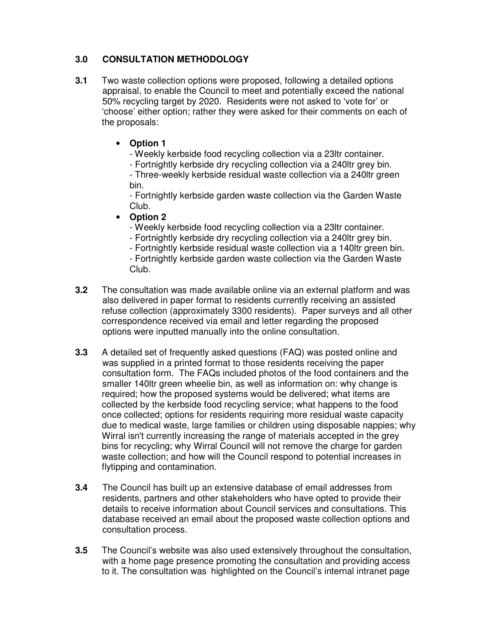# **3.0 CONSULTATION METHODOLOGY**

**3.1** Two waste collection options were proposed, following a detailed options appraisal, to enable the Council to meet and potentially exceed the national 50% recycling target by 2020. Residents were not asked to 'vote for' or 'choose' either option; rather they were asked for their comments on each of the proposals:

# • **Option 1**

- Weekly kerbside food recycling collection via a 23ltr container.
- Fortnightly kerbside dry recycling collection via a 240ltr grey bin.

 - Three-weekly kerbside residual waste collection via a 240ltr green bin.

 - Fortnightly kerbside garden waste collection via the Garden Waste Club.

# • **Option 2**

- Weekly kerbside food recycling collection via a 23ltr container.

- Fortnightly kerbside dry recycling collection via a 240ltr grey bin.
- Fortnightly kerbside residual waste collection via a 140ltr green bin.

 - Fortnightly kerbside garden waste collection via the Garden Waste Club.

- **3.2** The consultation was made available online via an external platform and was also delivered in paper format to residents currently receiving an assisted refuse collection (approximately 3300 residents). Paper surveys and all other correspondence received via email and letter regarding the proposed options were inputted manually into the online consultation.
- **3.3** A detailed set of frequently asked questions (FAQ) was posted online and was supplied in a printed format to those residents receiving the paper consultation form. The FAQs included photos of the food containers and the smaller 140ltr green wheelie bin, as well as information on: why change is required; how the proposed systems would be delivered; what items are collected by the kerbside food recycling service; what happens to the food once collected; options for residents requiring more residual waste capacity due to medical waste, large families or children using disposable nappies; why Wirral isn't currently increasing the range of materials accepted in the grey bins for recycling; why Wirral Council will not remove the charge for garden waste collection; and how will the Council respond to potential increases in flytipping and contamination.
- **3.4** The Council has built up an extensive database of email addresses from residents, partners and other stakeholders who have opted to provide their details to receive information about Council services and consultations. This database received an email about the proposed waste collection options and consultation process.
- **3.5** The Council's website was also used extensively throughout the consultation, with a home page presence promoting the consultation and providing access to it. The consultation was highlighted on the Council's internal intranet page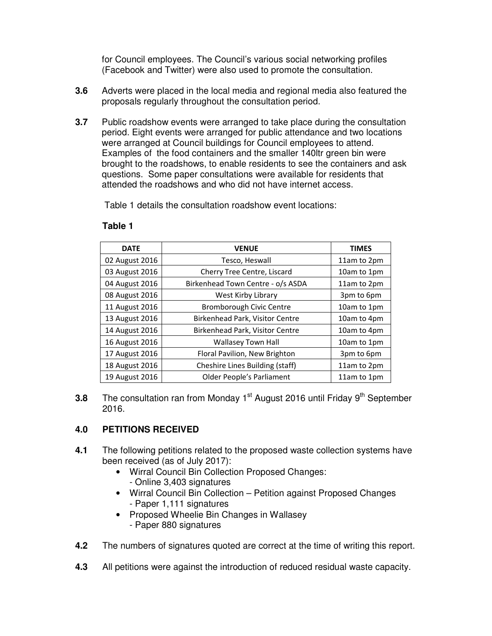for Council employees. The Council's various social networking profiles (Facebook and Twitter) were also used to promote the consultation.

- **3.6** Adverts were placed in the local media and regional media also featured the proposals regularly throughout the consultation period.
- **3.7** Public roadshow events were arranged to take place during the consultation period. Eight events were arranged for public attendance and two locations were arranged at Council buildings for Council employees to attend. Examples of the food containers and the smaller 140ltr green bin were brought to the roadshows, to enable residents to see the containers and ask questions. Some paper consultations were available for residents that attended the roadshows and who did not have internet access.

Table 1 details the consultation roadshow event locations:

| <b>DATE</b>    | <b>VENUE</b>                      | <b>TIMES</b> |
|----------------|-----------------------------------|--------------|
| 02 August 2016 | Tesco, Heswall                    | 11am to 2pm  |
| 03 August 2016 | Cherry Tree Centre, Liscard       | 10am to 1pm  |
| 04 August 2016 | Birkenhead Town Centre - o/s ASDA | 11am to 2pm  |
| 08 August 2016 | West Kirby Library                | 3pm to 6pm   |
| 11 August 2016 | <b>Bromborough Civic Centre</b>   | 10am to 1pm  |
| 13 August 2016 | Birkenhead Park, Visitor Centre   | 10am to 4pm  |
| 14 August 2016 | Birkenhead Park, Visitor Centre   | 10am to 4pm  |
| 16 August 2016 | Wallasey Town Hall                | 10am to 1pm  |
| 17 August 2016 | Floral Pavilion, New Brighton     | 3pm to 6pm   |
| 18 August 2016 | Cheshire Lines Building (staff)   | 11am to 2pm  |
| 19 August 2016 | Older People's Parliament         | 11am to 1pm  |

#### **Table 1**

**3.8** The consultation ran from Monday 1<sup>st</sup> August 2016 until Friday 9<sup>th</sup> September 2016.

# **4.0 PETITIONS RECEIVED**

- **4.1** The following petitions related to the proposed waste collection systems have been received (as of July 2017):
	- Wirral Council Bin Collection Proposed Changes:
		- Online 3,403 signatures
	- Wirral Council Bin Collection Petition against Proposed Changes - Paper 1,111 signatures
	- Proposed Wheelie Bin Changes in Wallasey - Paper 880 signatures
- **4.2** The numbers of signatures quoted are correct at the time of writing this report.
- **4.3** All petitions were against the introduction of reduced residual waste capacity.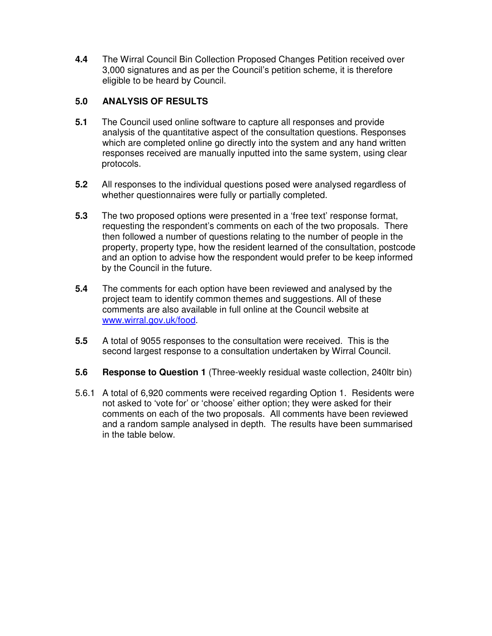**4.4** The Wirral Council Bin Collection Proposed Changes Petition received over 3,000 signatures and as per the Council's petition scheme, it is therefore eligible to be heard by Council.

## **5.0 ANALYSIS OF RESULTS**

- **5.1** The Council used online software to capture all responses and provide analysis of the quantitative aspect of the consultation questions. Responses which are completed online go directly into the system and any hand written responses received are manually inputted into the same system, using clear protocols.
- **5.2** All responses to the individual questions posed were analysed regardless of whether questionnaires were fully or partially completed.
- **5.3** The two proposed options were presented in a 'free text' response format, requesting the respondent's comments on each of the two proposals. There then followed a number of questions relating to the number of people in the property, property type, how the resident learned of the consultation, postcode and an option to advise how the respondent would prefer to be keep informed by the Council in the future.
- **5.4** The comments for each option have been reviewed and analysed by the project team to identify common themes and suggestions. All of these comments are also available in full online at the Council website at www.wirral.gov.uk/food.
- **5.5** A total of 9055 responses to the consultation were received. This is the second largest response to a consultation undertaken by Wirral Council.
- **5.6 Response to Question 1** (Three-weekly residual waste collection, 240ltr bin)
- 5.6.1 A total of 6,920 comments were received regarding Option 1. Residents were not asked to 'vote for' or 'choose' either option; they were asked for their comments on each of the two proposals. All comments have been reviewed and a random sample analysed in depth. The results have been summarised in the table below.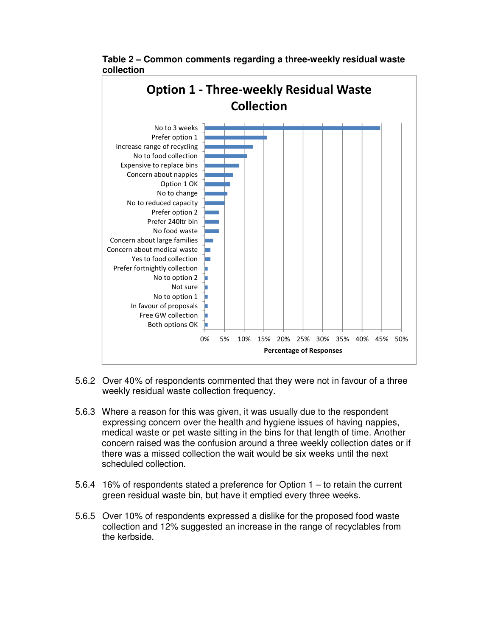

 **Table 2 – Common comments regarding a three-weekly residual waste collection** 

- 5.6.2 Over 40% of respondents commented that they were not in favour of a three weekly residual waste collection frequency.
- 5.6.3 Where a reason for this was given, it was usually due to the respondent expressing concern over the health and hygiene issues of having nappies, medical waste or pet waste sitting in the bins for that length of time. Another concern raised was the confusion around a three weekly collection dates or if there was a missed collection the wait would be six weeks until the next scheduled collection.
- 5.6.4 16% of respondents stated a preference for Option 1 to retain the current green residual waste bin, but have it emptied every three weeks.
- 5.6.5 Over 10% of respondents expressed a dislike for the proposed food waste collection and 12% suggested an increase in the range of recyclables from the kerbside.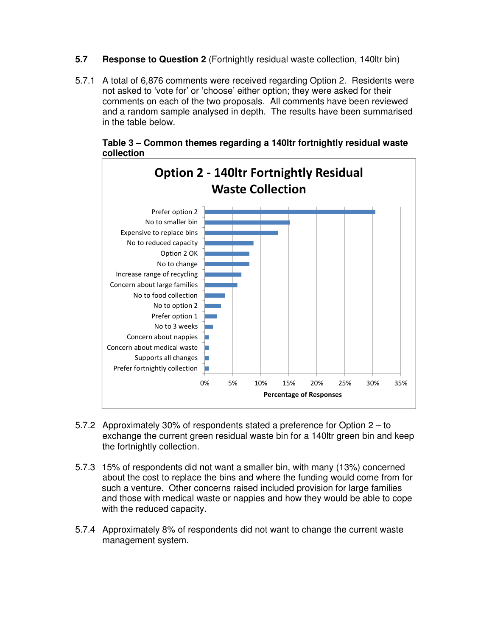- **5.7 Response to Question 2** (Fortnightly residual waste collection, 140ltr bin)
- 5.7.1 A total of 6,876 comments were received regarding Option 2. Residents were not asked to 'vote for' or 'choose' either option; they were asked for their comments on each of the two proposals. All comments have been reviewed and a random sample analysed in depth. The results have been summarised in the table below.

0% 5% 10% 15% 20% 25% 30% 35% Prefer fortnightly collection Supports all changes Concern about medical waste Concern about nappies No to 3 weeks Prefer option 1 No to option 2 No to food collection Concern about large families Increase range of recycling No to change Option 2 OK No to reduced capacity Expensive to replace bins No to smaller bin Prefer option 2 Option 2 - 140ltr Fortnightly Residual Waste Collection

 **Table 3 – Common themes regarding a 140ltr fortnightly residual waste collection** 

5.7.2 Approximately 30% of respondents stated a preference for Option 2 – to exchange the current green residual waste bin for a 140ltr green bin and keep the fortnightly collection.

Percentage of Responses

- 5.7.3 15% of respondents did not want a smaller bin, with many (13%) concerned about the cost to replace the bins and where the funding would come from for such a venture. Other concerns raised included provision for large families and those with medical waste or nappies and how they would be able to cope with the reduced capacity.
- 5.7.4 Approximately 8% of respondents did not want to change the current waste management system.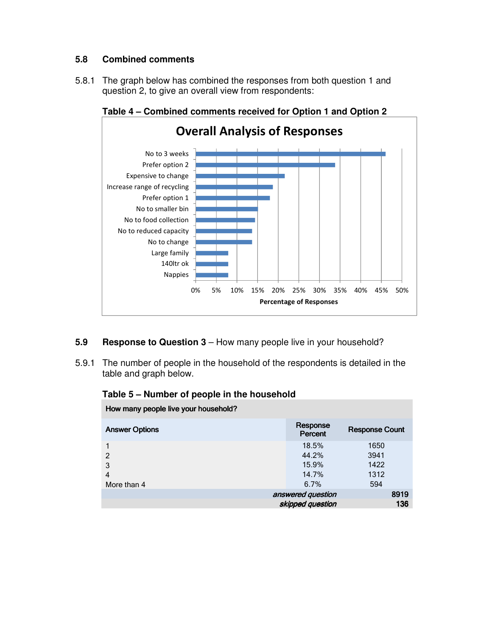# **5.8 Combined comments**

5.8.1 The graph below has combined the responses from both question 1 and question 2, to give an overall view from respondents:



 **Table 4 – Combined comments received for Option 1 and Option 2** 

#### **5.9 Response to Question 3** – How many people live in your household?

5.9.1 The number of people in the household of the respondents is detailed in the table and graph below.

| How many people live your household? |                     |                       |  |  |  |
|--------------------------------------|---------------------|-----------------------|--|--|--|
| <b>Answer Options</b>                | Response<br>Percent | <b>Response Count</b> |  |  |  |
|                                      | 18.5%               | 1650                  |  |  |  |
| $\mathcal{P}$                        | 44.2%               | 3941                  |  |  |  |
| 3                                    | 15.9%               | 1422                  |  |  |  |
| 4                                    | 14.7%               | 1312                  |  |  |  |
| More than 4                          | 6.7%                | 594                   |  |  |  |
| 8919<br>answered question            |                     |                       |  |  |  |
|                                      | skipped question    | 136                   |  |  |  |

#### **Table 5 – Number of people in the household**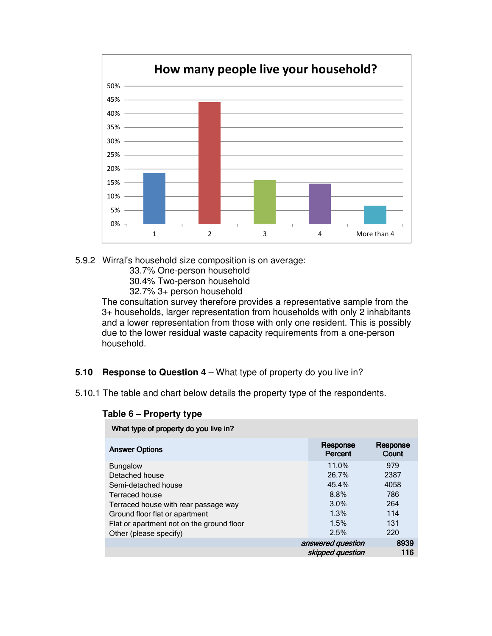

- 5.9.2 Wirral's household size composition is on average:
	- 33.7% One-person household
	- 30.4% Two-person household
	- 32.7% 3+ person household

 The consultation survey therefore provides a representative sample from the 3+ households, larger representation from households with only 2 inhabitants and a lower representation from those with only one resident. This is possibly due to the lower residual waste capacity requirements from a one-person household.

#### **5.10 Response to Question 4** – What type of property do you live in?

5.10.1 The table and chart below details the property type of the respondents.

| THE REPORT OF PROPERTY OF YOU HAVE HELD   |                                       |                   |  |  |  |
|-------------------------------------------|---------------------------------------|-------------------|--|--|--|
| <b>Answer Options</b>                     | Response<br>Percent                   | Response<br>Count |  |  |  |
| <b>Bungalow</b>                           | 11.0%                                 | 979               |  |  |  |
| Detached house                            | 26.7%                                 | 2387              |  |  |  |
| Semi-detached house                       | 45.4%                                 | 4058              |  |  |  |
| Terraced house                            | 8.8%                                  | 786               |  |  |  |
| Terraced house with rear passage way      | $3.0\%$                               | 264               |  |  |  |
| Ground floor flat or apartment            | 1.3%                                  | 114               |  |  |  |
| Flat or apartment not on the ground floor | 1.5%                                  | 131               |  |  |  |
| Other (please specify)                    | 2.5%                                  | 220               |  |  |  |
|                                           | answered question<br>skipped question | 8939<br>116       |  |  |  |
|                                           |                                       |                   |  |  |  |

#### **Table 6 – Property type**

What type of property do you live in?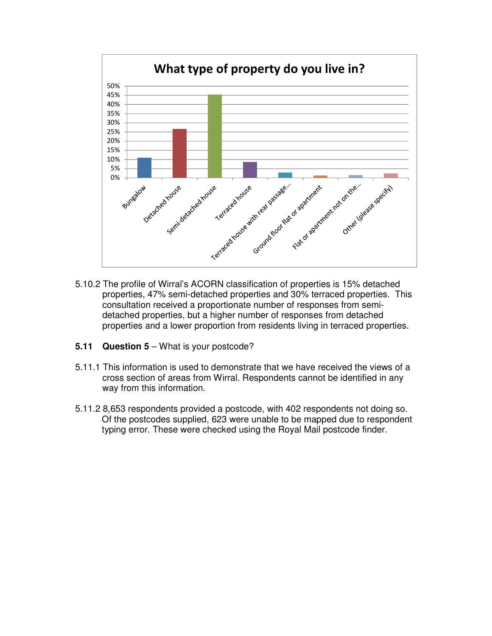

- 5.10.2 The profile of Wirral's ACORN classification of properties is 15% detached properties, 47% semi-detached properties and 30% terraced properties. This consultation received a proportionate number of responses from semi detached properties, but a higher number of responses from detached properties and a lower proportion from residents living in terraced properties.
- **5.11 Question 5** What is your postcode?
- 5.11.1 This information is used to demonstrate that we have received the views of a cross section of areas from Wirral. Respondents cannot be identified in any way from this information.
- 5.11.2 8,653 respondents provided a postcode, with 402 respondents not doing so. Of the postcodes supplied, 623 were unable to be mapped due to respondent typing error. These were checked using the Royal Mail postcode finder.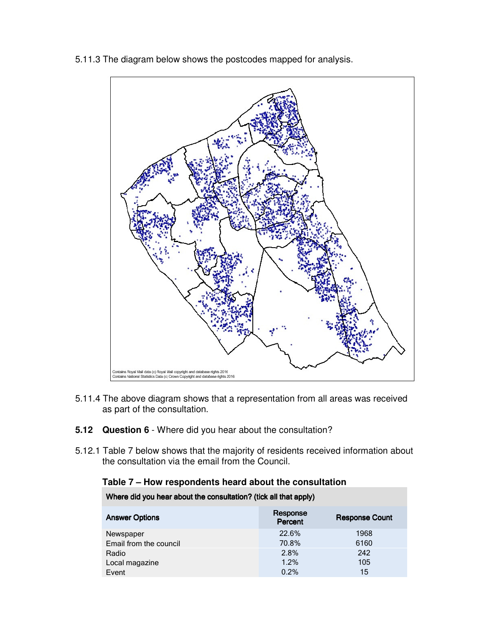

5.11.3 The diagram below shows the postcodes mapped for analysis.

- 5.11.4 The above diagram shows that a representation from all areas was received as part of the consultation.
- **5.12 Question 6** Where did you hear about the consultation?
- 5.12.1 Table 7 below shows that the majority of residents received information about the consultation via the email from the Council.

#### **Table 7 – How respondents heard about the consultation**

| Where did you hear about the consultation? (tick all that apply) |                     |                       |  |  |  |
|------------------------------------------------------------------|---------------------|-----------------------|--|--|--|
| <b>Answer Options</b>                                            | Response<br>Percent | <b>Response Count</b> |  |  |  |
| Newspaper                                                        | 22.6%               | 1968                  |  |  |  |
| Email from the council                                           | 70.8%               | 6160                  |  |  |  |
| Radio                                                            | 2.8%                | 242                   |  |  |  |
| Local magazine                                                   | 1.2%                | 105                   |  |  |  |
| Event                                                            | 0.2%                | 15                    |  |  |  |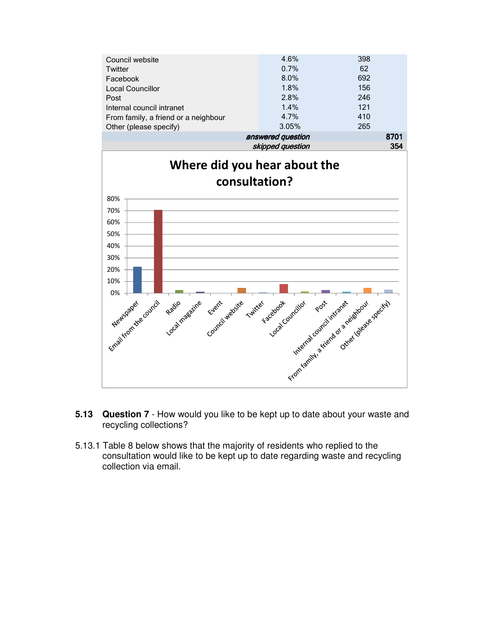

- **5.13 Question 7** How would you like to be kept up to date about your waste and recycling collections?
- 5.13.1 Table 8 below shows that the majority of residents who replied to the consultation would like to be kept up to date regarding waste and recycling collection via email.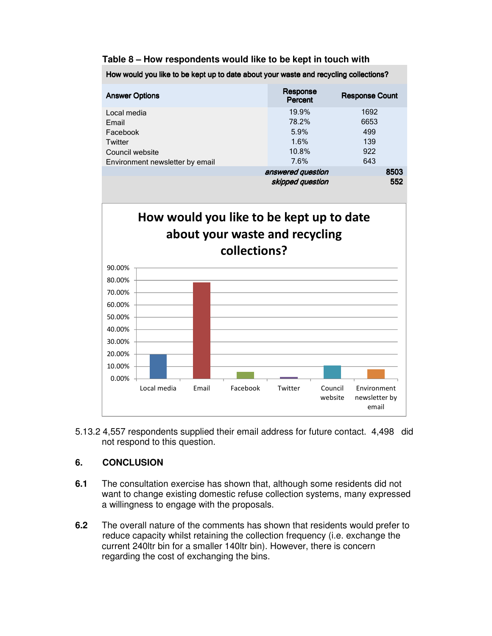#### **Table 8 – How respondents would like to be kept in touch with**

How would you like to be kept up to date about your waste and recycling collections? **Answer Options** Response **Percent Response Count** Local media 19.9% 1692 Email 78.2% 6653 Facebook 5.9% 499 Twitter **1.6%** 139 Council website 10.8% 922 Environment newsletter by email and the matter of  $7.6\%$  643 answered question 8503 skipped question 552

# How would you like to be kept up to date about your waste and recycling collections?



5.13.2 4,557 respondents supplied their email address for future contact. 4,498 did not respond to this question.

# **6. CONCLUSION**

- **6.1** The consultation exercise has shown that, although some residents did not want to change existing domestic refuse collection systems, many expressed a willingness to engage with the proposals.
- **6.2** The overall nature of the comments has shown that residents would prefer to reduce capacity whilst retaining the collection frequency (i.e. exchange the current 240ltr bin for a smaller 140ltr bin). However, there is concern regarding the cost of exchanging the bins.